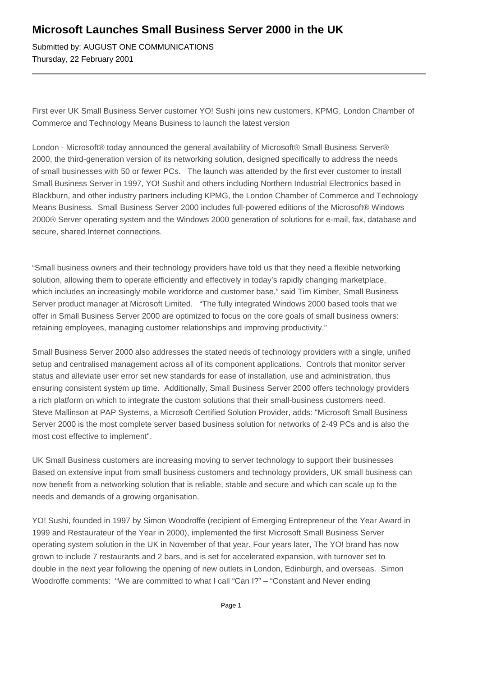## **Microsoft Launches Small Business Server 2000 in the UK**

Submitted by: AUGUST ONE COMMUNICATIONS Thursday, 22 February 2001

First ever UK Small Business Server customer YO! Sushi joins new customers, KPMG, London Chamber of Commerce and Technology Means Business to launch the latest version

London - Microsoft® today announced the general availability of Microsoft® Small Business Server® 2000, the third-generation version of its networking solution, designed specifically to address the needs of small businesses with 50 or fewer PCs. The launch was attended by the first ever customer to install Small Business Server in 1997, YO! Sushi! and others including Northern Industrial Electronics based in Blackburn, and other industry partners including KPMG, the London Chamber of Commerce and Technology Means Business. Small Business Server 2000 includes full-powered editions of the Microsoft® Windows 2000® Server operating system and the Windows 2000 generation of solutions for e-mail, fax, database and secure, shared Internet connections.

"Small business owners and their technology providers have told us that they need a flexible networking solution, allowing them to operate efficiently and effectively in today's rapidly changing marketplace, which includes an increasingly mobile workforce and customer base," said Tim Kimber, Small Business Server product manager at Microsoft Limited. "The fully integrated Windows 2000 based tools that we offer in Small Business Server 2000 are optimized to focus on the core goals of small business owners: retaining employees, managing customer relationships and improving productivity."

Small Business Server 2000 also addresses the stated needs of technology providers with a single, unified setup and centralised management across all of its component applications. Controls that monitor server status and alleviate user error set new standards for ease of installation, use and administration, thus ensuring consistent system up time. Additionally, Small Business Server 2000 offers technology providers a rich platform on which to integrate the custom solutions that their small-business customers need. Steve Mallinson at PAP Systems, a Microsoft Certified Solution Provider, adds: "Microsoft Small Business Server 2000 is the most complete server based business solution for networks of 2-49 PCs and is also the most cost effective to implement".

UK Small Business customers are increasing moving to server technology to support their businesses Based on extensive input from small business customers and technology providers, UK small business can now benefit from a networking solution that is reliable, stable and secure and which can scale up to the needs and demands of a growing organisation.

YO! Sushi, founded in 1997 by Simon Woodroffe (recipient of Emerging Entrepreneur of the Year Award in 1999 and Restaurateur of the Year in 2000), implemented the first Microsoft Small Business Server operating system solution in the UK in November of that year. Four years later, The YO! brand has now grown to include 7 restaurants and 2 bars, and is set for accelerated expansion, with turnover set to double in the next year following the opening of new outlets in London, Edinburgh, and overseas. Simon Woodroffe comments: "We are committed to what I call "Can I?" – "Constant and Never ending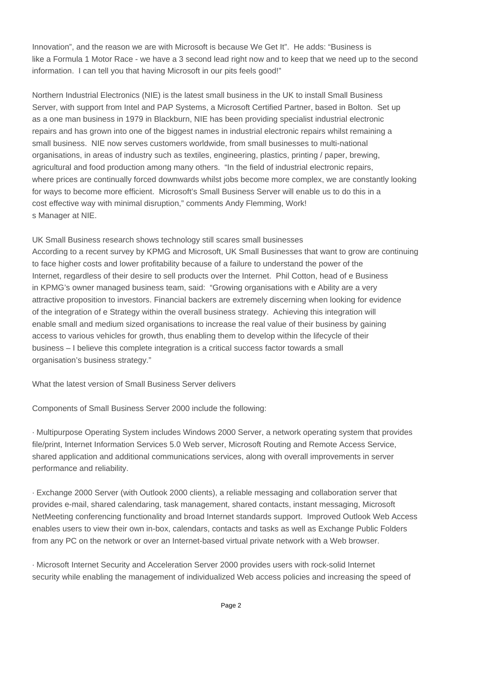Innovation", and the reason we are with Microsoft is because We Get It". He adds: "Business is like a Formula 1 Motor Race - we have a 3 second lead right now and to keep that we need up to the second information. I can tell you that having Microsoft in our pits feels good!"

Northern Industrial Electronics (NIE) is the latest small business in the UK to install Small Business Server, with support from Intel and PAP Systems, a Microsoft Certified Partner, based in Bolton. Set up as a one man business in 1979 in Blackburn, NIE has been providing specialist industrial electronic repairs and has grown into one of the biggest names in industrial electronic repairs whilst remaining a small business. NIE now serves customers worldwide, from small businesses to multi-national organisations, in areas of industry such as textiles, engineering, plastics, printing / paper, brewing, agricultural and food production among many others. "In the field of industrial electronic repairs, where prices are continually forced downwards whilst jobs become more complex, we are constantly looking for ways to become more efficient. Microsoft's Small Business Server will enable us to do this in a cost effective way with minimal disruption," comments Andy Flemming, Work! s Manager at NIE.

UK Small Business research shows technology still scares small businesses According to a recent survey by KPMG and Microsoft, UK Small Businesses that want to grow are continuing to face higher costs and lower profitability because of a failure to understand the power of the Internet, regardless of their desire to sell products over the Internet. Phil Cotton, head of e Business in KPMG's owner managed business team, said: "Growing organisations with e Ability are a very attractive proposition to investors. Financial backers are extremely discerning when looking for evidence of the integration of e Strategy within the overall business strategy. Achieving this integration will enable small and medium sized organisations to increase the real value of their business by gaining access to various vehicles for growth, thus enabling them to develop within the lifecycle of their business – I believe this complete integration is a critical success factor towards a small organisation's business strategy."

What the latest version of Small Business Server delivers

Components of Small Business Server 2000 include the following:

· Multipurpose Operating System includes Windows 2000 Server, a network operating system that provides file/print, Internet Information Services 5.0 Web server, Microsoft Routing and Remote Access Service, shared application and additional communications services, along with overall improvements in server performance and reliability.

· Exchange 2000 Server (with Outlook 2000 clients), a reliable messaging and collaboration server that provides e-mail, shared calendaring, task management, shared contacts, instant messaging, Microsoft NetMeeting conferencing functionality and broad Internet standards support. Improved Outlook Web Access enables users to view their own in-box, calendars, contacts and tasks as well as Exchange Public Folders from any PC on the network or over an Internet-based virtual private network with a Web browser.

· Microsoft Internet Security and Acceleration Server 2000 provides users with rock-solid Internet security while enabling the management of individualized Web access policies and increasing the speed of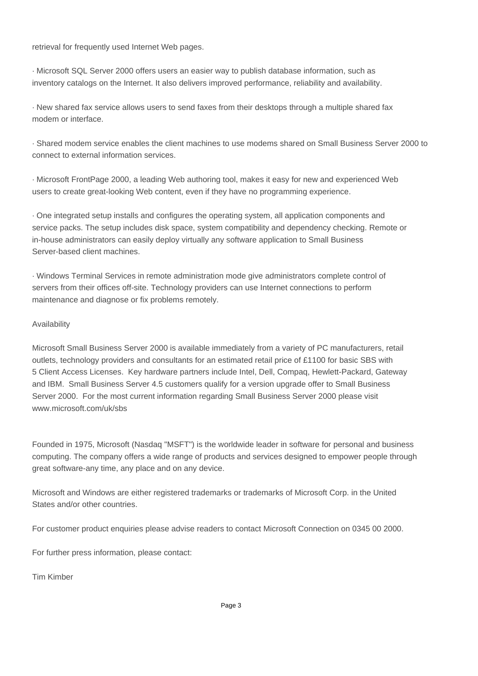retrieval for frequently used Internet Web pages.

· Microsoft SQL Server 2000 offers users an easier way to publish database information, such as inventory catalogs on the Internet. It also delivers improved performance, reliability and availability.

· New shared fax service allows users to send faxes from their desktops through a multiple shared fax modem or interface.

· Shared modem service enables the client machines to use modems shared on Small Business Server 2000 to connect to external information services.

· Microsoft FrontPage 2000, a leading Web authoring tool, makes it easy for new and experienced Web users to create great-looking Web content, even if they have no programming experience.

· One integrated setup installs and configures the operating system, all application components and service packs. The setup includes disk space, system compatibility and dependency checking. Remote or in-house administrators can easily deploy virtually any software application to Small Business Server-based client machines.

· Windows Terminal Services in remote administration mode give administrators complete control of servers from their offices off-site. Technology providers can use Internet connections to perform maintenance and diagnose or fix problems remotely.

## Availability

Microsoft Small Business Server 2000 is available immediately from a variety of PC manufacturers, retail outlets, technology providers and consultants for an estimated retail price of £1100 for basic SBS with 5 Client Access Licenses. Key hardware partners include Intel, Dell, Compaq, Hewlett-Packard, Gateway and IBM. Small Business Server 4.5 customers qualify for a version upgrade offer to Small Business Server 2000. For the most current information regarding Small Business Server 2000 please visit www.microsoft.com/uk/sbs

Founded in 1975, Microsoft (Nasdaq "MSFT") is the worldwide leader in software for personal and business computing. The company offers a wide range of products and services designed to empower people through great software-any time, any place and on any device.

Microsoft and Windows are either registered trademarks or trademarks of Microsoft Corp. in the United States and/or other countries.

For customer product enquiries please advise readers to contact Microsoft Connection on 0345 00 2000.

For further press information, please contact:

Tim Kimber